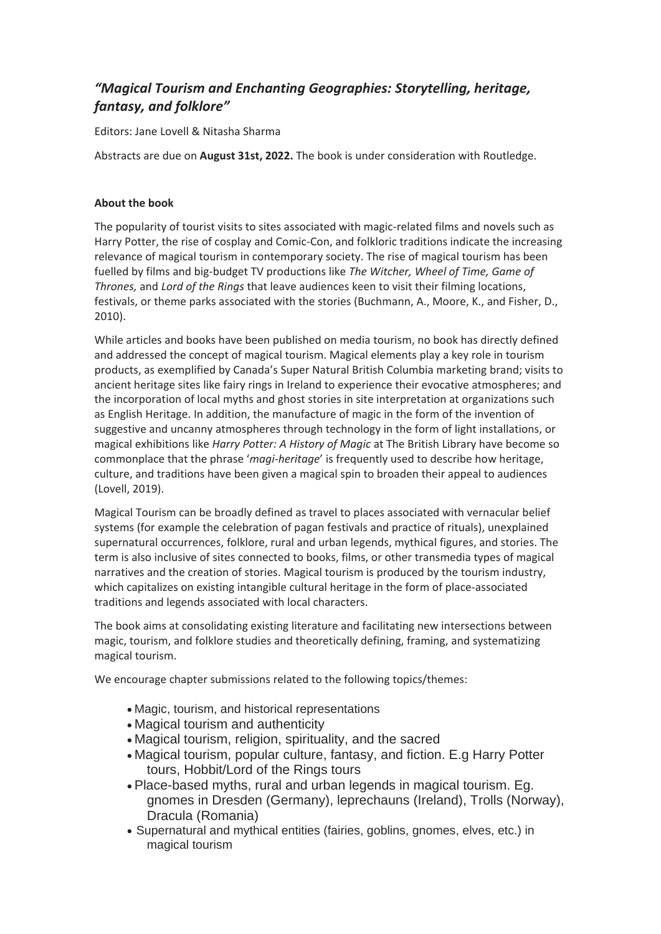## *"Magical Tourism and Enchanting Geographies: Storytelling, heritage, fantasy, and folklore"*

Editors: Jane Lovell & Nitasha Sharma

Abstracts are due on **August 31st, 2022.** The book is under consideration with Routledge.

## **About the book**

The popularity of tourist visits to sites associated with magic-related films and novels such as Harry Potter, the rise of cosplay and Comic-Con, and folkloric traditions indicate the increasing relevance of magical tourism in contemporary society. The rise of magical tourism has been fuelled by films and big-budget TV productions like *The Witcher, Wheel of Time, Game of Thrones,* and *Lord of the Rings* that leave audiences keen to visit their filming locations, festivals, or theme parks associated with the stories (Buchmann, A., Moore, K., and Fisher, D., 2010).

While articles and books have been published on media tourism, no book has directly defined and addressed the concept of magical tourism. Magical elements play a key role in tourism products, as exemplified by Canada's Super Natural British Columbia marketing brand; visits to ancient heritage sites like fairy rings in Ireland to experience their evocative atmospheres; and the incorporation of local myths and ghost stories in site interpretation at organizations such as English Heritage. In addition, the manufacture of magic in the form of the invention of suggestive and uncanny atmospheres through technology in the form of light installations, or magical exhibitions like *Harry Potter: A History of Magic* at The British Library have become so commonplace that the phrase '*magi-heritage*' is frequently used to describe how heritage, culture, and traditions have been given a magical spin to broaden their appeal to audiences (Lovell, 2019).

Magical Tourism can be broadly defined as travel to places associated with vernacular belief systems (for example the celebration of pagan festivals and practice of rituals), unexplained supernatural occurrences, folklore, rural and urban legends, mythical figures, and stories. The term is also inclusive of sites connected to books, films, or other transmedia types of magical narratives and the creation of stories. Magical tourism is produced by the tourism industry, which capitalizes on existing intangible cultural heritage in the form of place-associated traditions and legends associated with local characters.

The book aims at consolidating existing literature and facilitating new intersections between magic, tourism, and folklore studies and theoretically defining, framing, and systematizing magical tourism.

We encourage chapter submissions related to the following topics/themes:

- Magic, tourism, and historical representations
- Magical tourism and authenticity
- Magical tourism, religion, spirituality, and the sacred
- Magical tourism, popular culture, fantasy, and fiction. E.g Harry Potter tours, Hobbit/Lord of the Rings tours
- Place-based myths, rural and urban legends in magical tourism. Eg. gnomes in Dresden (Germany), leprechauns (Ireland), Trolls (Norway), Dracula (Romania)
- Supernatural and mythical entities (fairies, goblins, gnomes, elves, etc.) in magical tourism